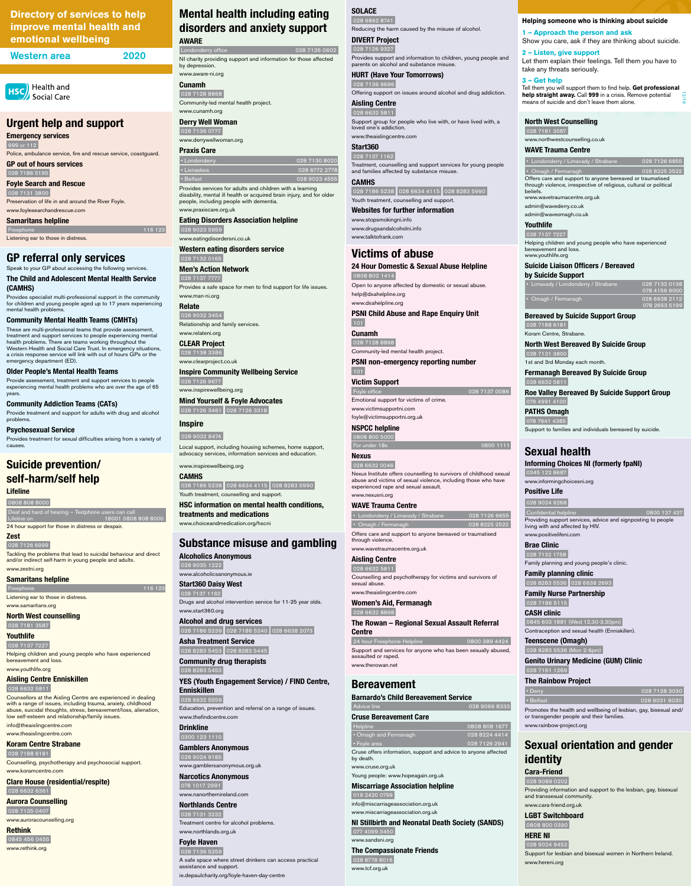### **Urgent help and support**

**Emergency services**

 999 or 112 Police, ambulance service, fire and rescue service, coastguard.

**GP out of hours services**  028 7186 5195

**Foyle Search and Rescue** 028 7131 3800

Preservation of life in and around the River Foyle. www.foylesearchandrescue.com

#### **Samaritans helpline**

Listening ear to those in distress.

**GP referral only services** 

Speak to your GP about accessing the following services.

**The Child and Adolescent Mental Health Service (CAMHS)**

Provides specialist multi-professional support in the community for children and young people aged up to 17 years experiencing mental health problems.

#### **Community Mental Health Teams (CMHTs)**

 Deaf and hard of hearing – Textphone users can call Lifeline on 18001 0808 808 8000 24 hour support for those in distress or despair

These are multi-professional teams that provide assessment, treatment and support services to people experiencing mental health problems. There are teams working throughout the Western Health and Social Care Trust. In emergency situations, a crisis response service will link with out of hours GPs or the emergency department (ED).

**Older People's Mental Health Teams**

Provide assessment, treatment and support services to people experiencing mental health problems who are over the age of 65 years.

**Community Addiction Teams (CATs)** Provide treatment and support for adults with drug and alcohol problems.

**Psychosexual Service** Provides treatment for sexual difficulties arising from a variety of causes.

Londonderry office 028 7126 0602 NI charity providing support and information for those affected by depression.

## **Suicide prevention/ self-harm/self help**

#### **Lifeline**

0808 808 8000

#### **Zest**  028 7126 6999

Tackling the problems that lead to suicidal behaviour and direct and/or indirect self-harm in young people and adults. www.zestni.org

**Samaritans helpline** 

Listening ear to those in distress. www.samaritans.org

**North West counselling**

#### 028 7181 3587 **Youthlife**

028 7137 7227

Helping children and young people who have experienced bereavement and loss. www.youthlife.org

# **Aisling Centre Enniskillen**

**Alcoholics Anonymous**  028 9035 1222

028 7137 1162 Drugs and alcohol intervention service for 11-25 year olds. www.start360.org

 028 6632 5811 Counsellors at the Aisling Centre are experienced in dealing with a range of issues, including trauma, anxiety, childhood abuse, suicidal thoughts, stress, bereavement/loss, alienation, low self-esteem and relationship/family issues.

info@theaislingcentre.com

www.theaislingcentre.com

### **Koram Centre Strabane**

#### 028 7188 6181

Counselling, psychotherapy and psychosocial support. www.koramcentre.com

#### **Clare House (residential/respite)** 028 6632 6361

**Aurora Counselling** 028 7135 0407

www.auroracounselling.org

#### **Rethink**



www.rethink.org

# **Mental health including eating disorders and anxiety support**

# **AWARE**

• Londonderry / Limavady / Strabane 028 7126 6655 • Omagh / Fermanagh 028 8225 2522 Offers care and support to anyone bereaved or traumatised through violence, irrespective of religious, cultural or political

#### www.aware-ni.org **Cunamh**

 028 7128 8868 Community-led mental health project.

www.cunamh.org

### **Derry Well Woman**

 028 7136 0777 www.derrywellwoman.org

#### **Praxis Care**

| • Londonderry                                             | 028 7130 8020 |
|-----------------------------------------------------------|---------------|
| l • Lisnaskea                                             | 028 6772 2778 |
| $\cdot$ Belfast                                           | 028 9023 4555 |
| Provides services for adults and children with a learning |               |

disability, mental ill health or acquired brain injury, and for older people, including people with dementia.

> Confidential helpline **1999** 0800 137 437 Providing support services, advice and signposting to people

#### www.praxiscare.org.uk **Eating Disorders Association helpline**

 028 9023 5959 www.eatingdisordersni.co.uk

**Western eating disorders service** 028 7132 0165

> **Teenscene (Omagh)** 028 8283 5536 (Mor

**Men's Action Network**

 028 7137 7777 Provides a safe space for men to find support for life issues. www.man-ni.org

> • Derry **028 7128 3030** • Belfast 028 9031 9030

### **Relate**

 028 9032 3454 Relationship and family services. www.relateni.org

**CLEAR Project** 028 7138 3386 www.clearproject.co.uk

#### **Inspire Community Wellbeing Service** 028 7126 9677

www.inspirewellbeing.org

#### **Mind Yourself & Foyle Advocates** 028 7126 3461 028 7126 3318

**Inspire**

028 9032 8474 Local support, including housing schemes, home support, advocacy services, information services and education.

### www.inspirewellbeing.org

**CAMHS** 028 7186 5238 028 6634 4115 028 8283 5990 Youth treatment, counselling and support.

**HSC information on mental health conditions, treatments and medications**

www.choiceandmedication.org/hscni

# **Substance misuse and gambling**

www.alcoholicsanonymous.ie **Start360 Daisy West** 

Foyle office **DETER** 028 7137 0086 Emotional support for victims of crime. www.victimsupportni.com

### **Alcohol and drug services** 028 7186 5239 028 7186 5240 028 6638 2073

**Asha Treatment Service** 028 8283 5453 028 8283 5445

**Community drug therapists** 028 8283 5453

### **YES (Youth Engagement Service) / FIND Centre, Enniskillen**

028 6632

Education, prevention and referral on a range of issues. www.thefindcentre.com

#### **Drinkline**

116 123

0300 123 1110

#### **Gamblers Anonymous** 028 9024 9185

www.gamblersanonymous.org.uk

### **Narcotics Anonymous**

078 1017 2991

www.nanorthernireland.com

#### **Northlands Centre**

#### 028 7131 3232

Treatment centre for alcohol problems. www.northlands.org.uk

#### **Foyle Haven**

#### 028 7136 5259

A safe space where street drinkers can access practical assistance and support.

ie.depaulcharity.org/foyle-haven-day-centre

### **Directory of services to help improve mental health and emotional wellbeing**

Western area 2020

**HSC** Health and Social Care

**North West Counselling**

028 7181 3587

www.northwestcounselling.co.uk **WAVE Trauma Centre**

beliefs.

www.wavetraumacentre.org.uk admin@wavederry.co.uk admin@waveomagh.co.uk

**Youthlife** 028 7137 7227

Helping children and young people who have experienced

• Limavady / Londonderry / Strabane 028 7132 0138

bereavement and loss. www.youthlife.org

**Suicide Liaison Officers / Bereaved** 

**by Suicide Support** 

078 2653 5199

078 4156 90

**Bereaved by Suicide Support Group**

 028 7188 6181 Koram Centre, Strabane.

**North West Bereaved By Suicide Group**

028 7131 3800

1st and 3rd Monday each month.

**Fermanagh Bereaved By Suicide Group**

028 6632 5811

**Roe Valley Bereaved By Suicide Support Group**

 079 4991 4100 **PATHS Omagh** 078 7941 4385

Support to families and individuals bereaved by suicide.

**Sexual health**

**Informing Choices NI (formerly fpaNI)**

0345 122 8687

www.informingchoicesni.org

**Positive Life** 028 9024 9268

living with and affected by HIV. www.positivelifeni.com **Brae Clinic**  028 7132 1758

Family planning and young people's clinic.

**Family planning clinic** 028 8283 5536 028 6638 2693 **Family Nurse Partnership**

 028 7186 5115 **CASH clinic**

 0845 603 1881 (Wed 12.30-3.30pm) Contraception and sexual health (Enniskillen).

**Genito Urinary Medicine (GUM) Clinic** 

028 7161 1269

**The Rainbow Project**

Promotes the health and wellbeing of lesbian, gay, bisexual and/ or transgender people and their families. www.rainbow-project.org

## **Sexual orientation and gender identity Cara-Friend**

#### 028 9089 0202

Providing information and support to the lesbian, gay, bisexual and transsexual community.

www.cara-friend.org.uk

#### **LGBT Switchboard**

0808 800 0390

### **HERE NI**

#### 028 9024 9452

Support for lesbian and bisexual women in Northern Ireland. www.hereni.org

### **SOLACE**

 028 6862 8741 Reducing the harm caused by the misuse of alcohol.

#### **DIVERT Project** 028 7126 9327

Provides support and information to children, young people and parents on alcohol and substance misuse.

#### **HURT (Have Your Tomorrows)** 028 7136 9696

Offering support on issues around alcohol and drug addiction.

#### **Aisling Centre** 028 6632 5811

Support group for people who live with, or have lived with, a

loved one's addiction. www.theaislingcentre.com

**Start360**

028 7137 1162

Treatment, counselling and support services for young people and families affected by substance misuse.

**CAMHS**

 028 7186 5238 028 6634 4115 028 8283 5990 Youth treatment, counselling and support.

**Websites for further information**

#### www.stopsmokingni.info www.drugsandalcoholni.info www.talktofrank.com

**Victims of abuse**

# **24 Hour Domestic & Sexual Abuse Helpline**

 0808 802 1414 Open to anyone affected by domestic or sexual abuse. help@dsahelpline.org

www.dsahelpline.org **PSNI Child Abuse and Rape Enquiry Unit**  101

**Cunamh** 028 7128 8868

Community-led mental health project.

**PSNI non-emergency reporting number** 101

### **Victim Support**

foyle@victimsupportni.org.uk

#### **NSPCC helpline** 0808 800 5000

**Nexus** 028 6632 0046

For under 18s 0800 1111

Nexus Institute offers counselling to survivors of childhood sexual abuse and victims of sexual violence, including those who have

• Londonderry / Limavady / Strabane 028 7126 6655

experienced rape and sexual assault.

www.nexusni.org

**WAVE Trauma Centre**

• Omagh / Fermanagh

Offers care and support to anyone bereaved or traumatised

through violence.

www.wavetraumacentre.org.uk

**Aisling Centre** 028 6632 5811

Counselling and psychotherapy for victims and survivors of

sexual abuse.

028 6632 889

www.theaislingcentre.com **Women's Aid, Fermanagh**

**The Rowan – Regional Sexual Assault Referral** 

**Centre**

24 hour Freephone Helpline 0800 389 4424

Support and services for anyone who has been sexually abused,

assaulted or raped. www.therowan.net

**Bereavement**

**Barnardo's Child Bereavement Service** 

#### **Cruse Bereavement Care**

| <b>Helpline</b>              | 0808 808 1677 |
|------------------------------|---------------|
| <b>• Omagh and Fermanagh</b> | 028 8224 4414 |
| <b>Foyle area</b>            | 028 7126 2941 |

Cruse offers information, support and advice to anyone affected by death.

www.cruse.org.uk

Young people: www.hopeagain.org.uk

#### **Miscarriage Association helpline**

#### 019 2420 0799

info@miscarriageassociation.org.uk

www.miscarriageassociation.org.uk

### **NI Stillbirth and Neonatal Death Society (SANDS)**

077 4099 3450

www.sandsni.org

### **The Compassionate Friends**

#### 028 8778 8016

www.tcf.org.uk

028 9066 8333

**Helping someone who is thinking about suicide**

**1 – Approach the person and ask**

Show you care, ask if they are thinking about suicide.

**2 – Listen, give support**

Let them explain their feelings. Tell them you have to

take any threats seriously.

**3 – Get help**

Tell them you will support them to find help. **Get professional help straight away.** Call **999** in a crisis. Remove potential

means of suicide and don't leave them alone.

12/19